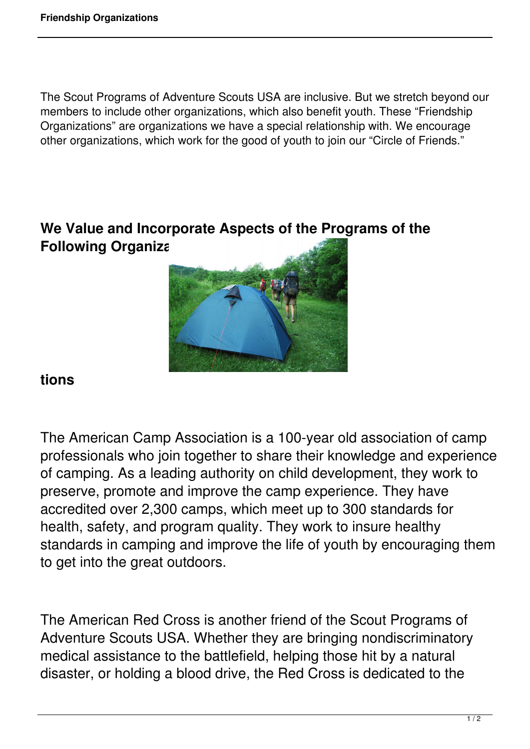The Scout Programs of Adventure Scouts USA are inclusive. But we stretch beyond our members to include other organizations, which also benefit youth. These "Friendship Organizations" are organizations we have a special relationship with. We encourage other organizations, which work for the good of youth to join our "Circle of Friends."

## **We Value and Incorporate Aspects of the Programs of the Following Organiza**



## **tions**

The American Camp Association is a 100-year old association of camp professionals who join together to share their knowledge and experience of camping. As a leading authority on child development, they work to preserve, promote and improve the camp experience. They have accredited over 2,300 camps, which meet up to 300 standards for health, safety, and program quality. They work to insure healthy standards in camping and improve the life of youth by encouraging them to get into the great outdoors.

The American Red Cross is another friend of the Scout Programs of Adventure Scouts USA. Whether they are bringing nondiscriminatory medical assistance to the battlefield, helping those hit by a natural disaster, or holding a blood drive, the Red Cross is dedicated to the